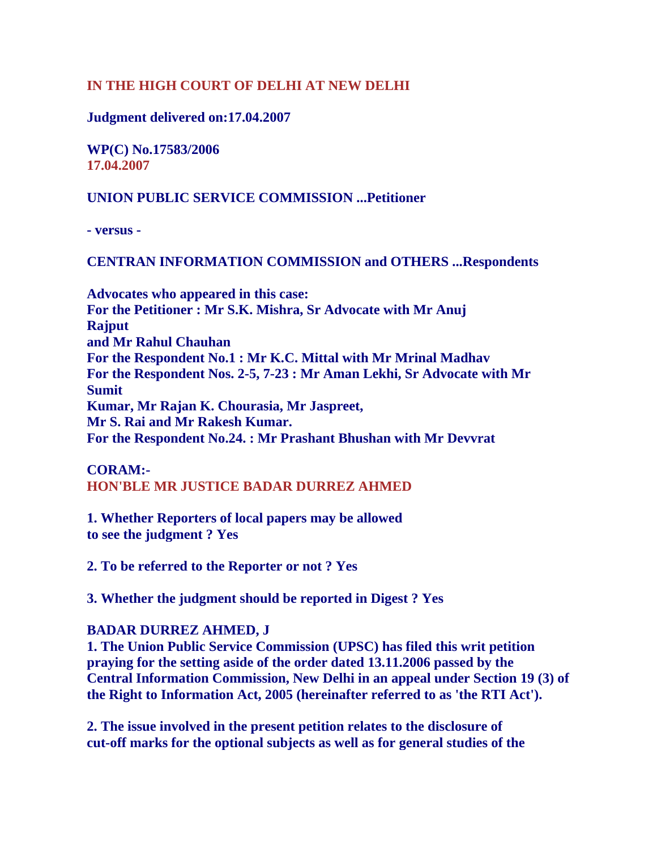# **IN THE HIGH COURT OF DELHI AT NEW DELHI**

## **Judgment delivered on:17.04.2007**

**WP(C) No.17583/2006 17.04.2007**

## **UNION PUBLIC SERVICE COMMISSION ...Petitioner**

**- versus -** 

#### **CENTRAN INFORMATION COMMISSION and OTHERS ...Respondents**

**Advocates who appeared in this case: For the Petitioner : Mr S.K. Mishra, Sr Advocate with Mr Anuj Rajput and Mr Rahul Chauhan For the Respondent No.1 : Mr K.C. Mittal with Mr Mrinal Madhav For the Respondent Nos. 2-5, 7-23 : Mr Aman Lekhi, Sr Advocate with Mr Sumit Kumar, Mr Rajan K. Chourasia, Mr Jaspreet, Mr S. Rai and Mr Rakesh Kumar. For the Respondent No.24. : Mr Prashant Bhushan with Mr Devvrat** 

# **CORAM:-**

## **HON'BLE MR JUSTICE BADAR DURREZ AHMED**

**1. Whether Reporters of local papers may be allowed to see the judgment ? Yes** 

**2. To be referred to the Reporter or not ? Yes** 

**3. Whether the judgment should be reported in Digest ? Yes** 

## **BADAR DURREZ AHMED, J**

**1. The Union Public Service Commission (UPSC) has filed this writ petition praying for the setting aside of the order dated 13.11.2006 passed by the Central Information Commission, New Delhi in an appeal under Section 19 (3) of the Right to Information Act, 2005 (hereinafter referred to as 'the RTI Act').** 

**2. The issue involved in the present petition relates to the disclosure of cut-off marks for the optional subjects as well as for general studies of the**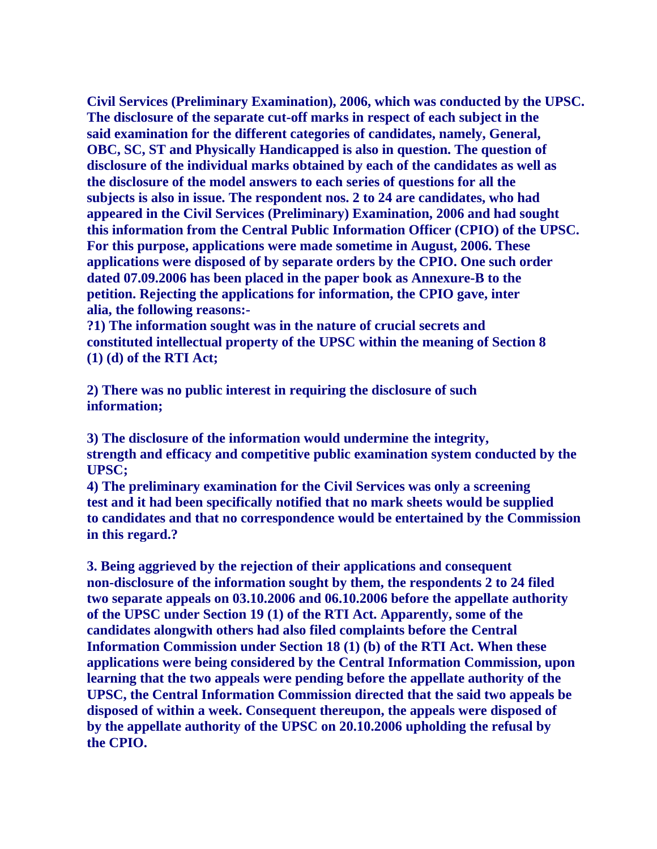**Civil Services (Preliminary Examination), 2006, which was conducted by the UPSC. The disclosure of the separate cut-off marks in respect of each subject in the said examination for the different categories of candidates, namely, General, OBC, SC, ST and Physically Handicapped is also in question. The question of disclosure of the individual marks obtained by each of the candidates as well as the disclosure of the model answers to each series of questions for all the subjects is also in issue. The respondent nos. 2 to 24 are candidates, who had appeared in the Civil Services (Preliminary) Examination, 2006 and had sought this information from the Central Public Information Officer (CPIO) of the UPSC. For this purpose, applications were made sometime in August, 2006. These applications were disposed of by separate orders by the CPIO. One such order dated 07.09.2006 has been placed in the paper book as Annexure-B to the petition. Rejecting the applications for information, the CPIO gave, inter alia, the following reasons:-** 

**?1) The information sought was in the nature of crucial secrets and constituted intellectual property of the UPSC within the meaning of Section 8 (1) (d) of the RTI Act;** 

**2) There was no public interest in requiring the disclosure of such information;** 

**3) The disclosure of the information would undermine the integrity, strength and efficacy and competitive public examination system conducted by the UPSC;** 

**4) The preliminary examination for the Civil Services was only a screening test and it had been specifically notified that no mark sheets would be supplied to candidates and that no correspondence would be entertained by the Commission in this regard.?** 

**3. Being aggrieved by the rejection of their applications and consequent non-disclosure of the information sought by them, the respondents 2 to 24 filed two separate appeals on 03.10.2006 and 06.10.2006 before the appellate authority of the UPSC under Section 19 (1) of the RTI Act. Apparently, some of the candidates alongwith others had also filed complaints before the Central Information Commission under Section 18 (1) (b) of the RTI Act. When these applications were being considered by the Central Information Commission, upon learning that the two appeals were pending before the appellate authority of the UPSC, the Central Information Commission directed that the said two appeals be disposed of within a week. Consequent thereupon, the appeals were disposed of by the appellate authority of the UPSC on 20.10.2006 upholding the refusal by the CPIO.**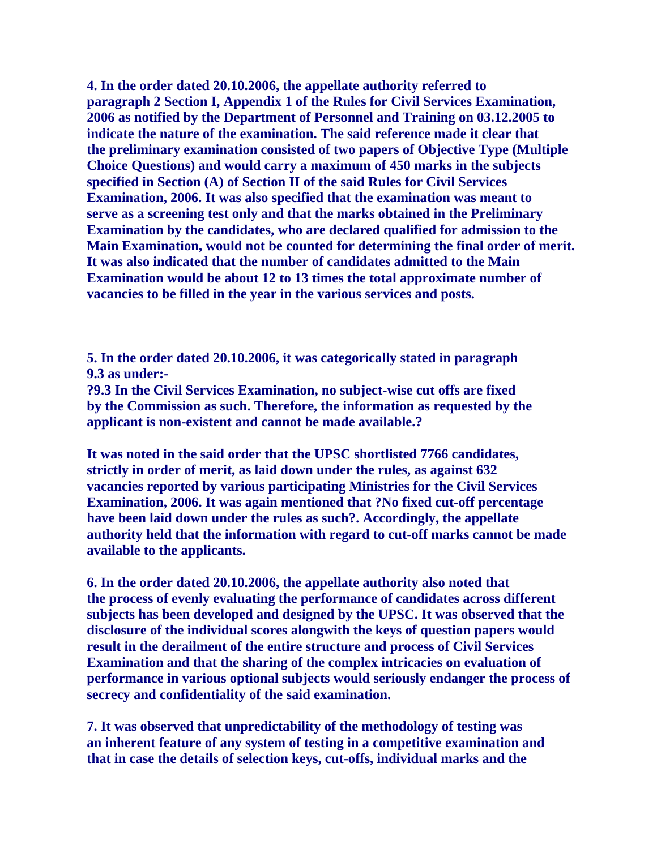**4. In the order dated 20.10.2006, the appellate authority referred to paragraph 2 Section I, Appendix 1 of the Rules for Civil Services Examination, 2006 as notified by the Department of Personnel and Training on 03.12.2005 to indicate the nature of the examination. The said reference made it clear that the preliminary examination consisted of two papers of Objective Type (Multiple Choice Questions) and would carry a maximum of 450 marks in the subjects specified in Section (A) of Section II of the said Rules for Civil Services Examination, 2006. It was also specified that the examination was meant to serve as a screening test only and that the marks obtained in the Preliminary Examination by the candidates, who are declared qualified for admission to the Main Examination, would not be counted for determining the final order of merit. It was also indicated that the number of candidates admitted to the Main Examination would be about 12 to 13 times the total approximate number of vacancies to be filled in the year in the various services and posts.** 

**5. In the order dated 20.10.2006, it was categorically stated in paragraph 9.3 as under:-** 

**?9.3 In the Civil Services Examination, no subject-wise cut offs are fixed by the Commission as such. Therefore, the information as requested by the applicant is non-existent and cannot be made available.?** 

**It was noted in the said order that the UPSC shortlisted 7766 candidates, strictly in order of merit, as laid down under the rules, as against 632 vacancies reported by various participating Ministries for the Civil Services Examination, 2006. It was again mentioned that ?No fixed cut-off percentage have been laid down under the rules as such?. Accordingly, the appellate authority held that the information with regard to cut-off marks cannot be made available to the applicants.** 

**6. In the order dated 20.10.2006, the appellate authority also noted that the process of evenly evaluating the performance of candidates across different subjects has been developed and designed by the UPSC. It was observed that the disclosure of the individual scores alongwith the keys of question papers would result in the derailment of the entire structure and process of Civil Services Examination and that the sharing of the complex intricacies on evaluation of performance in various optional subjects would seriously endanger the process of secrecy and confidentiality of the said examination.** 

**7. It was observed that unpredictability of the methodology of testing was an inherent feature of any system of testing in a competitive examination and that in case the details of selection keys, cut-offs, individual marks and the**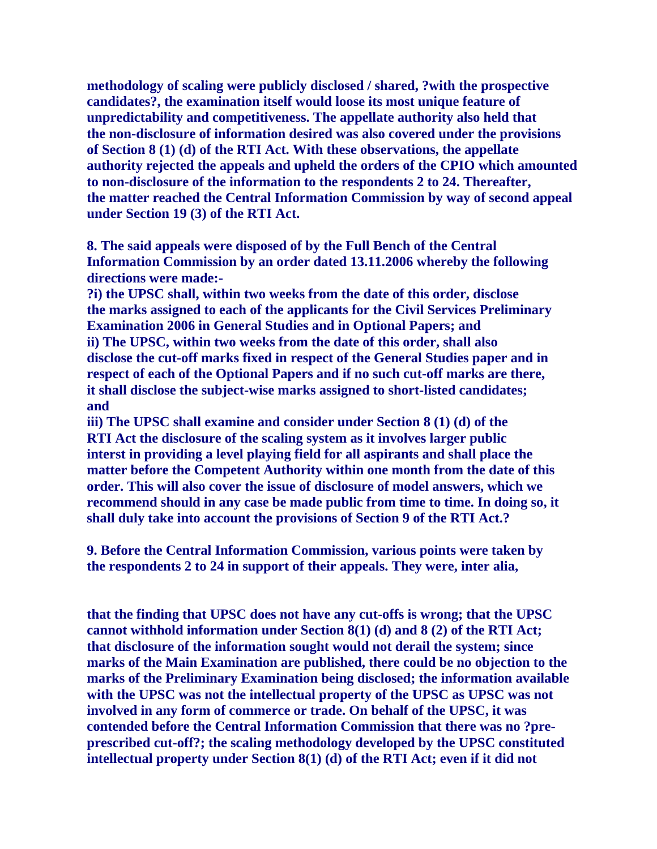**methodology of scaling were publicly disclosed / shared, ?with the prospective candidates?, the examination itself would loose its most unique feature of unpredictability and competitiveness. The appellate authority also held that the non-disclosure of information desired was also covered under the provisions of Section 8 (1) (d) of the RTI Act. With these observations, the appellate authority rejected the appeals and upheld the orders of the CPIO which amounted to non-disclosure of the information to the respondents 2 to 24. Thereafter, the matter reached the Central Information Commission by way of second appeal under Section 19 (3) of the RTI Act.** 

**8. The said appeals were disposed of by the Full Bench of the Central Information Commission by an order dated 13.11.2006 whereby the following directions were made:-** 

**?i) the UPSC shall, within two weeks from the date of this order, disclose the marks assigned to each of the applicants for the Civil Services Preliminary Examination 2006 in General Studies and in Optional Papers; and ii) The UPSC, within two weeks from the date of this order, shall also disclose the cut-off marks fixed in respect of the General Studies paper and in respect of each of the Optional Papers and if no such cut-off marks are there, it shall disclose the subject-wise marks assigned to short-listed candidates; and** 

**iii) The UPSC shall examine and consider under Section 8 (1) (d) of the RTI Act the disclosure of the scaling system as it involves larger public interst in providing a level playing field for all aspirants and shall place the matter before the Competent Authority within one month from the date of this order. This will also cover the issue of disclosure of model answers, which we recommend should in any case be made public from time to time. In doing so, it shall duly take into account the provisions of Section 9 of the RTI Act.?** 

**9. Before the Central Information Commission, various points were taken by the respondents 2 to 24 in support of their appeals. They were, inter alia,** 

**that the finding that UPSC does not have any cut-offs is wrong; that the UPSC cannot withhold information under Section 8(1) (d) and 8 (2) of the RTI Act; that disclosure of the information sought would not derail the system; since marks of the Main Examination are published, there could be no objection to the marks of the Preliminary Examination being disclosed; the information available with the UPSC was not the intellectual property of the UPSC as UPSC was not involved in any form of commerce or trade. On behalf of the UPSC, it was contended before the Central Information Commission that there was no ?preprescribed cut-off?; the scaling methodology developed by the UPSC constituted intellectual property under Section 8(1) (d) of the RTI Act; even if it did not**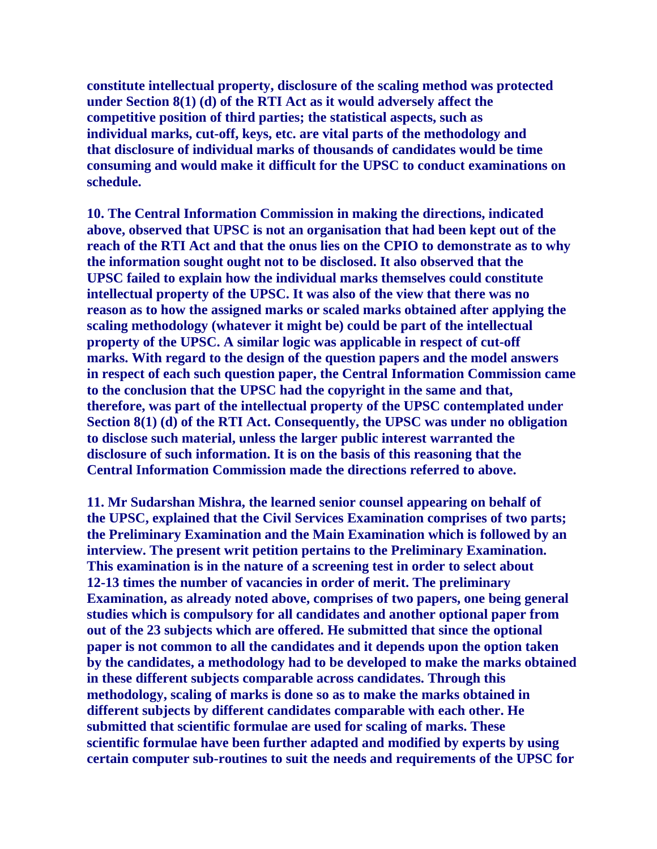**constitute intellectual property, disclosure of the scaling method was protected under Section 8(1) (d) of the RTI Act as it would adversely affect the competitive position of third parties; the statistical aspects, such as individual marks, cut-off, keys, etc. are vital parts of the methodology and that disclosure of individual marks of thousands of candidates would be time consuming and would make it difficult for the UPSC to conduct examinations on schedule.** 

**10. The Central Information Commission in making the directions, indicated above, observed that UPSC is not an organisation that had been kept out of the reach of the RTI Act and that the onus lies on the CPIO to demonstrate as to why the information sought ought not to be disclosed. It also observed that the UPSC failed to explain how the individual marks themselves could constitute intellectual property of the UPSC. It was also of the view that there was no reason as to how the assigned marks or scaled marks obtained after applying the scaling methodology (whatever it might be) could be part of the intellectual property of the UPSC. A similar logic was applicable in respect of cut-off marks. With regard to the design of the question papers and the model answers in respect of each such question paper, the Central Information Commission came to the conclusion that the UPSC had the copyright in the same and that, therefore, was part of the intellectual property of the UPSC contemplated under Section 8(1) (d) of the RTI Act. Consequently, the UPSC was under no obligation to disclose such material, unless the larger public interest warranted the disclosure of such information. It is on the basis of this reasoning that the Central Information Commission made the directions referred to above.** 

**11. Mr Sudarshan Mishra, the learned senior counsel appearing on behalf of the UPSC, explained that the Civil Services Examination comprises of two parts; the Preliminary Examination and the Main Examination which is followed by an interview. The present writ petition pertains to the Preliminary Examination. This examination is in the nature of a screening test in order to select about 12-13 times the number of vacancies in order of merit. The preliminary Examination, as already noted above, comprises of two papers, one being general studies which is compulsory for all candidates and another optional paper from out of the 23 subjects which are offered. He submitted that since the optional paper is not common to all the candidates and it depends upon the option taken by the candidates, a methodology had to be developed to make the marks obtained in these different subjects comparable across candidates. Through this methodology, scaling of marks is done so as to make the marks obtained in different subjects by different candidates comparable with each other. He submitted that scientific formulae are used for scaling of marks. These scientific formulae have been further adapted and modified by experts by using certain computer sub-routines to suit the needs and requirements of the UPSC for**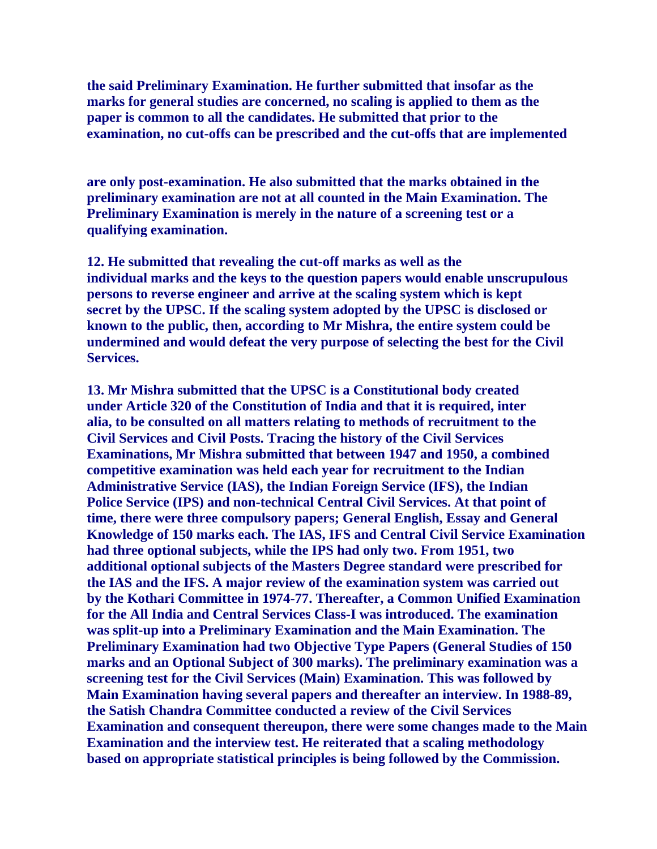**the said Preliminary Examination. He further submitted that insofar as the marks for general studies are concerned, no scaling is applied to them as the paper is common to all the candidates. He submitted that prior to the examination, no cut-offs can be prescribed and the cut-offs that are implemented** 

**are only post-examination. He also submitted that the marks obtained in the preliminary examination are not at all counted in the Main Examination. The Preliminary Examination is merely in the nature of a screening test or a qualifying examination.** 

**12. He submitted that revealing the cut-off marks as well as the individual marks and the keys to the question papers would enable unscrupulous persons to reverse engineer and arrive at the scaling system which is kept secret by the UPSC. If the scaling system adopted by the UPSC is disclosed or known to the public, then, according to Mr Mishra, the entire system could be undermined and would defeat the very purpose of selecting the best for the Civil Services.** 

**13. Mr Mishra submitted that the UPSC is a Constitutional body created under Article 320 of the Constitution of India and that it is required, inter alia, to be consulted on all matters relating to methods of recruitment to the Civil Services and Civil Posts. Tracing the history of the Civil Services Examinations, Mr Mishra submitted that between 1947 and 1950, a combined competitive examination was held each year for recruitment to the Indian Administrative Service (IAS), the Indian Foreign Service (IFS), the Indian Police Service (IPS) and non-technical Central Civil Services. At that point of time, there were three compulsory papers; General English, Essay and General Knowledge of 150 marks each. The IAS, IFS and Central Civil Service Examination had three optional subjects, while the IPS had only two. From 1951, two additional optional subjects of the Masters Degree standard were prescribed for the IAS and the IFS. A major review of the examination system was carried out by the Kothari Committee in 1974-77. Thereafter, a Common Unified Examination for the All India and Central Services Class-I was introduced. The examination was split-up into a Preliminary Examination and the Main Examination. The Preliminary Examination had two Objective Type Papers (General Studies of 150 marks and an Optional Subject of 300 marks). The preliminary examination was a screening test for the Civil Services (Main) Examination. This was followed by Main Examination having several papers and thereafter an interview. In 1988-89, the Satish Chandra Committee conducted a review of the Civil Services Examination and consequent thereupon, there were some changes made to the Main Examination and the interview test. He reiterated that a scaling methodology based on appropriate statistical principles is being followed by the Commission.**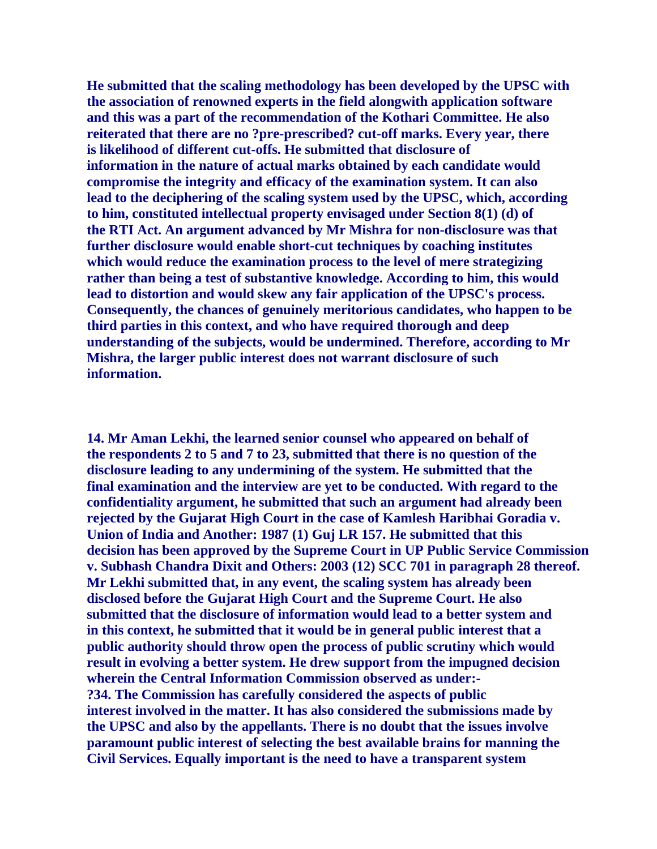**He submitted that the scaling methodology has been developed by the UPSC with the association of renowned experts in the field alongwith application software and this was a part of the recommendation of the Kothari Committee. He also reiterated that there are no ?pre-prescribed? cut-off marks. Every year, there is likelihood of different cut-offs. He submitted that disclosure of information in the nature of actual marks obtained by each candidate would compromise the integrity and efficacy of the examination system. It can also lead to the deciphering of the scaling system used by the UPSC, which, according to him, constituted intellectual property envisaged under Section 8(1) (d) of the RTI Act. An argument advanced by Mr Mishra for non-disclosure was that further disclosure would enable short-cut techniques by coaching institutes which would reduce the examination process to the level of mere strategizing rather than being a test of substantive knowledge. According to him, this would lead to distortion and would skew any fair application of the UPSC's process. Consequently, the chances of genuinely meritorious candidates, who happen to be third parties in this context, and who have required thorough and deep understanding of the subjects, would be undermined. Therefore, according to Mr Mishra, the larger public interest does not warrant disclosure of such information.** 

**14. Mr Aman Lekhi, the learned senior counsel who appeared on behalf of the respondents 2 to 5 and 7 to 23, submitted that there is no question of the disclosure leading to any undermining of the system. He submitted that the final examination and the interview are yet to be conducted. With regard to the confidentiality argument, he submitted that such an argument had already been rejected by the Gujarat High Court in the case of Kamlesh Haribhai Goradia v. Union of India and Another: 1987 (1) Guj LR 157. He submitted that this decision has been approved by the Supreme Court in UP Public Service Commission v. Subhash Chandra Dixit and Others: 2003 (12) SCC 701 in paragraph 28 thereof. Mr Lekhi submitted that, in any event, the scaling system has already been disclosed before the Gujarat High Court and the Supreme Court. He also submitted that the disclosure of information would lead to a better system and in this context, he submitted that it would be in general public interest that a public authority should throw open the process of public scrutiny which would result in evolving a better system. He drew support from the impugned decision wherein the Central Information Commission observed as under:- ?34. The Commission has carefully considered the aspects of public interest involved in the matter. It has also considered the submissions made by the UPSC and also by the appellants. There is no doubt that the issues involve paramount public interest of selecting the best available brains for manning the Civil Services. Equally important is the need to have a transparent system**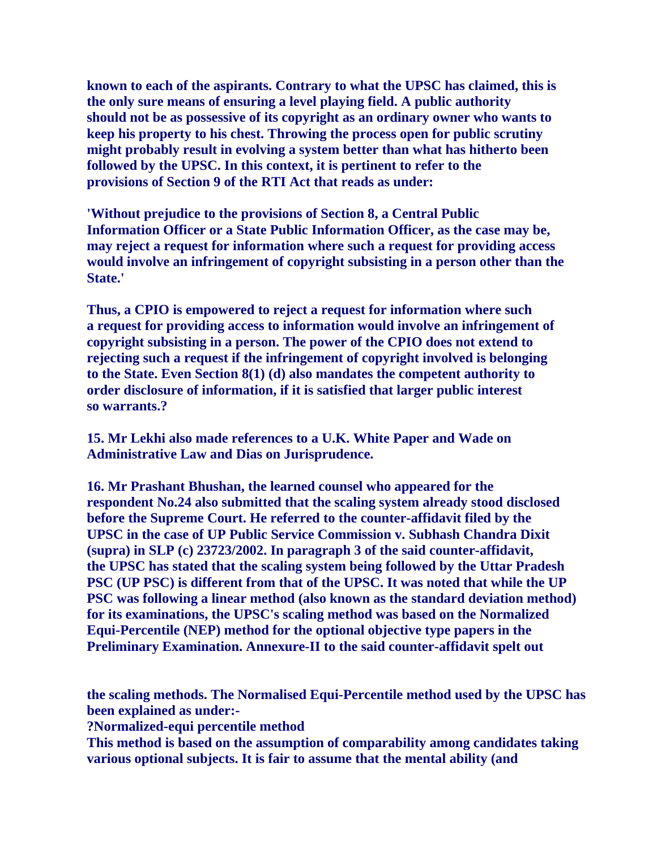**known to each of the aspirants. Contrary to what the UPSC has claimed, this is the only sure means of ensuring a level playing field. A public authority should not be as possessive of its copyright as an ordinary owner who wants to keep his property to his chest. Throwing the process open for public scrutiny might probably result in evolving a system better than what has hitherto been followed by the UPSC. In this context, it is pertinent to refer to the provisions of Section 9 of the RTI Act that reads as under:** 

**'Without prejudice to the provisions of Section 8, a Central Public Information Officer or a State Public Information Officer, as the case may be, may reject a request for information where such a request for providing access would involve an infringement of copyright subsisting in a person other than the State.'** 

**Thus, a CPIO is empowered to reject a request for information where such a request for providing access to information would involve an infringement of copyright subsisting in a person. The power of the CPIO does not extend to rejecting such a request if the infringement of copyright involved is belonging to the State. Even Section 8(1) (d) also mandates the competent authority to order disclosure of information, if it is satisfied that larger public interest so warrants.?** 

**15. Mr Lekhi also made references to a U.K. White Paper and Wade on Administrative Law and Dias on Jurisprudence.** 

**16. Mr Prashant Bhushan, the learned counsel who appeared for the respondent No.24 also submitted that the scaling system already stood disclosed before the Supreme Court. He referred to the counter-affidavit filed by the UPSC in the case of UP Public Service Commission v. Subhash Chandra Dixit (supra) in SLP (c) 23723/2002. In paragraph 3 of the said counter-affidavit, the UPSC has stated that the scaling system being followed by the Uttar Pradesh PSC (UP PSC) is different from that of the UPSC. It was noted that while the UP PSC was following a linear method (also known as the standard deviation method) for its examinations, the UPSC's scaling method was based on the Normalized Equi-Percentile (NEP) method for the optional objective type papers in the Preliminary Examination. Annexure-II to the said counter-affidavit spelt out** 

**the scaling methods. The Normalised Equi-Percentile method used by the UPSC has been explained as under:-** 

**?Normalized-equi percentile method** 

**This method is based on the assumption of comparability among candidates taking various optional subjects. It is fair to assume that the mental ability (and**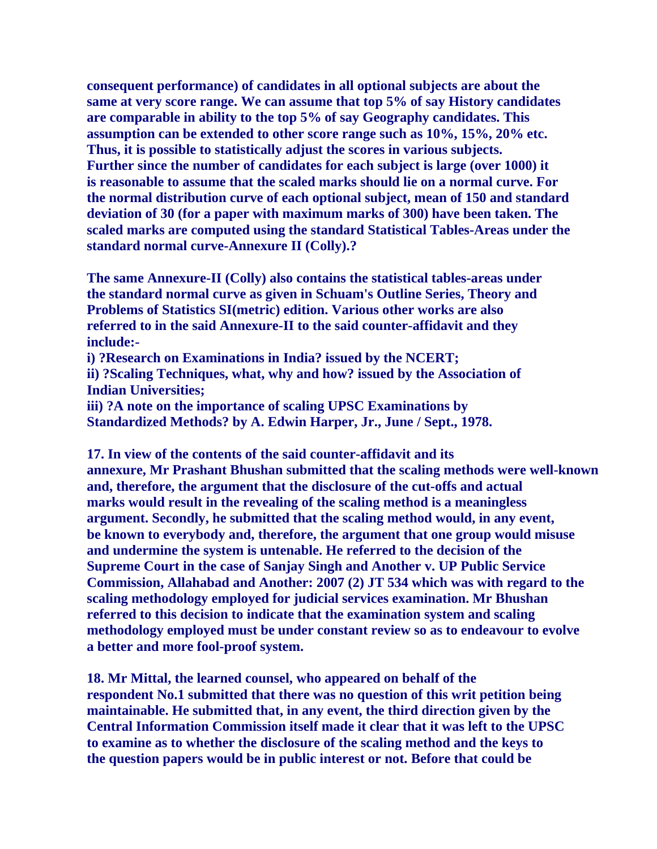**consequent performance) of candidates in all optional subjects are about the same at very score range. We can assume that top 5% of say History candidates are comparable in ability to the top 5% of say Geography candidates. This assumption can be extended to other score range such as 10%, 15%, 20% etc. Thus, it is possible to statistically adjust the scores in various subjects. Further since the number of candidates for each subject is large (over 1000) it is reasonable to assume that the scaled marks should lie on a normal curve. For the normal distribution curve of each optional subject, mean of 150 and standard deviation of 30 (for a paper with maximum marks of 300) have been taken. The scaled marks are computed using the standard Statistical Tables-Areas under the standard normal curve-Annexure II (Colly).?** 

**The same Annexure-II (Colly) also contains the statistical tables-areas under the standard normal curve as given in Schuam's Outline Series, Theory and Problems of Statistics SI(metric) edition. Various other works are also referred to in the said Annexure-II to the said counter-affidavit and they include:-** 

**i) ?Research on Examinations in India? issued by the NCERT;** 

**ii) ?Scaling Techniques, what, why and how? issued by the Association of Indian Universities;** 

**iii) ?A note on the importance of scaling UPSC Examinations by Standardized Methods? by A. Edwin Harper, Jr., June / Sept., 1978.** 

**17. In view of the contents of the said counter-affidavit and its annexure, Mr Prashant Bhushan submitted that the scaling methods were well-known and, therefore, the argument that the disclosure of the cut-offs and actual marks would result in the revealing of the scaling method is a meaningless argument. Secondly, he submitted that the scaling method would, in any event, be known to everybody and, therefore, the argument that one group would misuse and undermine the system is untenable. He referred to the decision of the Supreme Court in the case of Sanjay Singh and Another v. UP Public Service Commission, Allahabad and Another: 2007 (2) JT 534 which was with regard to the scaling methodology employed for judicial services examination. Mr Bhushan referred to this decision to indicate that the examination system and scaling methodology employed must be under constant review so as to endeavour to evolve a better and more fool-proof system.** 

**18. Mr Mittal, the learned counsel, who appeared on behalf of the respondent No.1 submitted that there was no question of this writ petition being maintainable. He submitted that, in any event, the third direction given by the Central Information Commission itself made it clear that it was left to the UPSC to examine as to whether the disclosure of the scaling method and the keys to the question papers would be in public interest or not. Before that could be**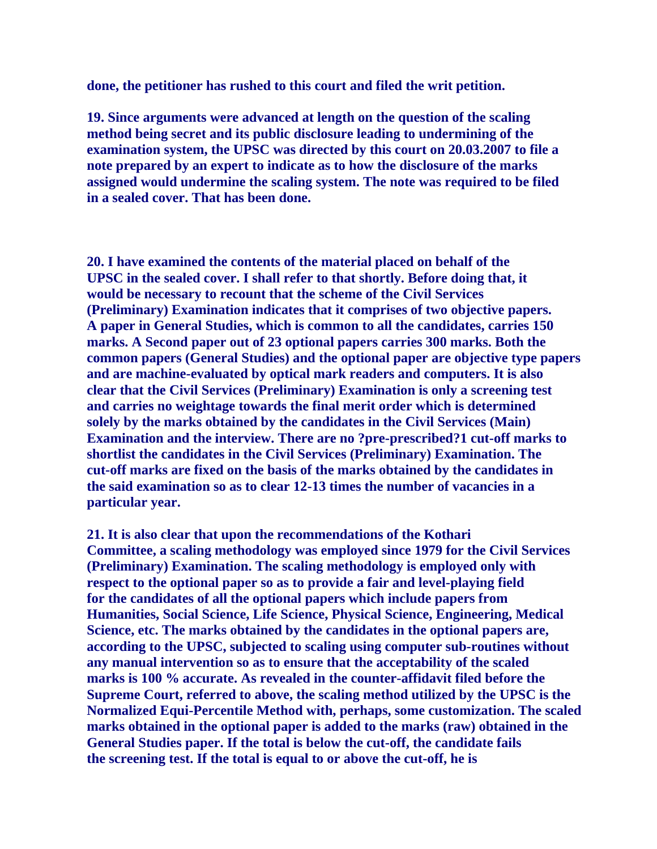**done, the petitioner has rushed to this court and filed the writ petition.** 

**19. Since arguments were advanced at length on the question of the scaling method being secret and its public disclosure leading to undermining of the examination system, the UPSC was directed by this court on 20.03.2007 to file a note prepared by an expert to indicate as to how the disclosure of the marks assigned would undermine the scaling system. The note was required to be filed in a sealed cover. That has been done.** 

**20. I have examined the contents of the material placed on behalf of the UPSC in the sealed cover. I shall refer to that shortly. Before doing that, it would be necessary to recount that the scheme of the Civil Services (Preliminary) Examination indicates that it comprises of two objective papers. A paper in General Studies, which is common to all the candidates, carries 150 marks. A Second paper out of 23 optional papers carries 300 marks. Both the common papers (General Studies) and the optional paper are objective type papers and are machine-evaluated by optical mark readers and computers. It is also clear that the Civil Services (Preliminary) Examination is only a screening test and carries no weightage towards the final merit order which is determined solely by the marks obtained by the candidates in the Civil Services (Main) Examination and the interview. There are no ?pre-prescribed?1 cut-off marks to shortlist the candidates in the Civil Services (Preliminary) Examination. The cut-off marks are fixed on the basis of the marks obtained by the candidates in the said examination so as to clear 12-13 times the number of vacancies in a particular year.** 

**21. It is also clear that upon the recommendations of the Kothari Committee, a scaling methodology was employed since 1979 for the Civil Services (Preliminary) Examination. The scaling methodology is employed only with respect to the optional paper so as to provide a fair and level-playing field for the candidates of all the optional papers which include papers from Humanities, Social Science, Life Science, Physical Science, Engineering, Medical Science, etc. The marks obtained by the candidates in the optional papers are, according to the UPSC, subjected to scaling using computer sub-routines without any manual intervention so as to ensure that the acceptability of the scaled marks is 100 % accurate. As revealed in the counter-affidavit filed before the Supreme Court, referred to above, the scaling method utilized by the UPSC is the Normalized Equi-Percentile Method with, perhaps, some customization. The scaled marks obtained in the optional paper is added to the marks (raw) obtained in the General Studies paper. If the total is below the cut-off, the candidate fails the screening test. If the total is equal to or above the cut-off, he is**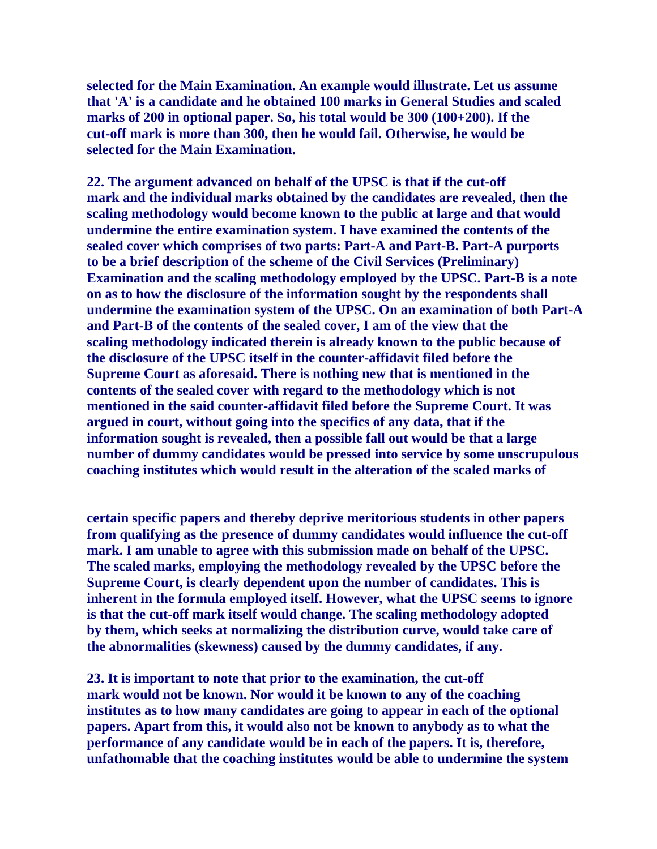**selected for the Main Examination. An example would illustrate. Let us assume that 'A' is a candidate and he obtained 100 marks in General Studies and scaled marks of 200 in optional paper. So, his total would be 300 (100+200). If the cut-off mark is more than 300, then he would fail. Otherwise, he would be selected for the Main Examination.** 

**22. The argument advanced on behalf of the UPSC is that if the cut-off mark and the individual marks obtained by the candidates are revealed, then the scaling methodology would become known to the public at large and that would undermine the entire examination system. I have examined the contents of the sealed cover which comprises of two parts: Part-A and Part-B. Part-A purports to be a brief description of the scheme of the Civil Services (Preliminary) Examination and the scaling methodology employed by the UPSC. Part-B is a note on as to how the disclosure of the information sought by the respondents shall undermine the examination system of the UPSC. On an examination of both Part-A and Part-B of the contents of the sealed cover, I am of the view that the scaling methodology indicated therein is already known to the public because of the disclosure of the UPSC itself in the counter-affidavit filed before the Supreme Court as aforesaid. There is nothing new that is mentioned in the contents of the sealed cover with regard to the methodology which is not mentioned in the said counter-affidavit filed before the Supreme Court. It was argued in court, without going into the specifics of any data, that if the information sought is revealed, then a possible fall out would be that a large number of dummy candidates would be pressed into service by some unscrupulous coaching institutes which would result in the alteration of the scaled marks of** 

**certain specific papers and thereby deprive meritorious students in other papers from qualifying as the presence of dummy candidates would influence the cut-off mark. I am unable to agree with this submission made on behalf of the UPSC. The scaled marks, employing the methodology revealed by the UPSC before the Supreme Court, is clearly dependent upon the number of candidates. This is inherent in the formula employed itself. However, what the UPSC seems to ignore is that the cut-off mark itself would change. The scaling methodology adopted by them, which seeks at normalizing the distribution curve, would take care of the abnormalities (skewness) caused by the dummy candidates, if any.** 

**23. It is important to note that prior to the examination, the cut-off mark would not be known. Nor would it be known to any of the coaching institutes as to how many candidates are going to appear in each of the optional papers. Apart from this, it would also not be known to anybody as to what the performance of any candidate would be in each of the papers. It is, therefore, unfathomable that the coaching institutes would be able to undermine the system**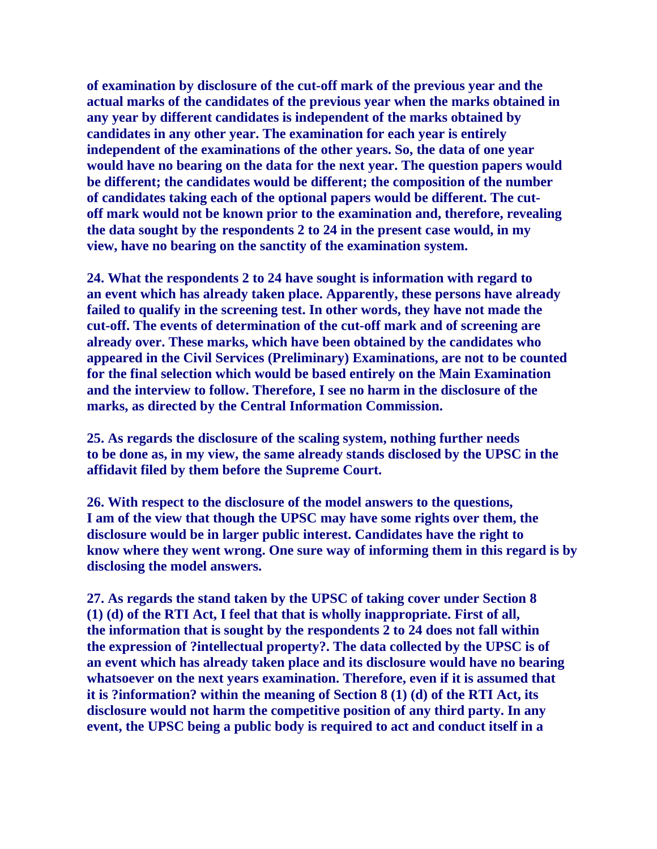**of examination by disclosure of the cut-off mark of the previous year and the actual marks of the candidates of the previous year when the marks obtained in any year by different candidates is independent of the marks obtained by candidates in any other year. The examination for each year is entirely independent of the examinations of the other years. So, the data of one year would have no bearing on the data for the next year. The question papers would be different; the candidates would be different; the composition of the number of candidates taking each of the optional papers would be different. The cutoff mark would not be known prior to the examination and, therefore, revealing the data sought by the respondents 2 to 24 in the present case would, in my view, have no bearing on the sanctity of the examination system.** 

**24. What the respondents 2 to 24 have sought is information with regard to an event which has already taken place. Apparently, these persons have already failed to qualify in the screening test. In other words, they have not made the cut-off. The events of determination of the cut-off mark and of screening are already over. These marks, which have been obtained by the candidates who appeared in the Civil Services (Preliminary) Examinations, are not to be counted for the final selection which would be based entirely on the Main Examination and the interview to follow. Therefore, I see no harm in the disclosure of the marks, as directed by the Central Information Commission.** 

**25. As regards the disclosure of the scaling system, nothing further needs to be done as, in my view, the same already stands disclosed by the UPSC in the affidavit filed by them before the Supreme Court.** 

**26. With respect to the disclosure of the model answers to the questions, I am of the view that though the UPSC may have some rights over them, the disclosure would be in larger public interest. Candidates have the right to know where they went wrong. One sure way of informing them in this regard is by disclosing the model answers.** 

**27. As regards the stand taken by the UPSC of taking cover under Section 8 (1) (d) of the RTI Act, I feel that that is wholly inappropriate. First of all, the information that is sought by the respondents 2 to 24 does not fall within the expression of ?intellectual property?. The data collected by the UPSC is of an event which has already taken place and its disclosure would have no bearing whatsoever on the next years examination. Therefore, even if it is assumed that it is ?information? within the meaning of Section 8 (1) (d) of the RTI Act, its disclosure would not harm the competitive position of any third party. In any event, the UPSC being a public body is required to act and conduct itself in a**